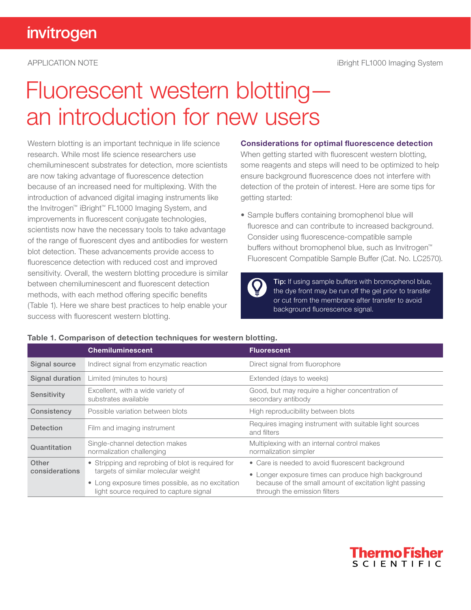# Fluorescent western blotting an introduction for new users

Western blotting is an important technique in life science research. While most life science researchers use chemiluminescent substrates for detection, more scientists are now taking advantage of fluorescence detection because of an increased need for multiplexing. With the introduction of advanced digital imaging instruments like the Invitrogen™ iBright™ FL1000 Imaging System, and improvements in fluorescent conjugate technologies, scientists now have the necessary tools to take advantage of the range of fluorescent dyes and antibodies for western blot detection. These advancements provide access to fluorescence detection with reduced cost and improved sensitivity. Overall, the western blotting procedure is similar between chemiluminescent and fluorescent detection methods, with each method offering specific benefits (Table 1). Here we share best practices to help enable your success with fluorescent western blotting.

### Considerations for optimal fluorescence detection

When getting started with fluorescent western blotting, some reagents and steps will need to be optimized to help ensure background fluorescence does not interfere with detection of the protein of interest. Here are some tips for getting started:

• Sample buffers containing bromophenol blue will fluoresce and can contribute to increased background. Consider using fluorescence-compatible sample buffers without bromophenol blue, such as Invitrogen™ Fluorescent Compatible Sample Buffer (Cat. No. LC2570).

> Tip: If using sample buffers with bromophenol blue, the dye front may be run off the gel prior to transfer or cut from the membrane after transfer to avoid background fluorescence signal.

|                  | <b>Chemiluminescent</b>                                                                     | <b>Fluorescent</b>                                                                      |
|------------------|---------------------------------------------------------------------------------------------|-----------------------------------------------------------------------------------------|
| Signal source    | Indirect signal from enzymatic reaction                                                     | Direct signal from fluorophore                                                          |
| Signal duration  | Limited (minutes to hours)                                                                  | Extended (days to weeks)                                                                |
| Sensitivity      | Excellent, with a wide variety of<br>substrates available                                   | Good, but may require a higher concentration of<br>secondary antibody                   |
| Consistency      | Possible variation between blots                                                            | High reproducibility between blots                                                      |
| <b>Detection</b> | Film and imaging instrument                                                                 | Requires imaging instrument with suitable light sources<br>and filters                  |
| Quantitation     | Single-channel detection makes<br>normalization challenging                                 | Multiplexing with an internal control makes<br>normalization simpler                    |
| Other            | • Stripping and reprobing of blot is required for<br>targets of similar molecular weight    | • Care is needed to avoid fluorescent background                                        |
| considerations   |                                                                                             | • Longer exposure times can produce high background                                     |
|                  | • Long exposure times possible, as no excitation<br>light source required to capture signal | because of the small amount of excitation light passing<br>through the emission filters |

## Table 1. Comparison of detection techniques for western blotting.

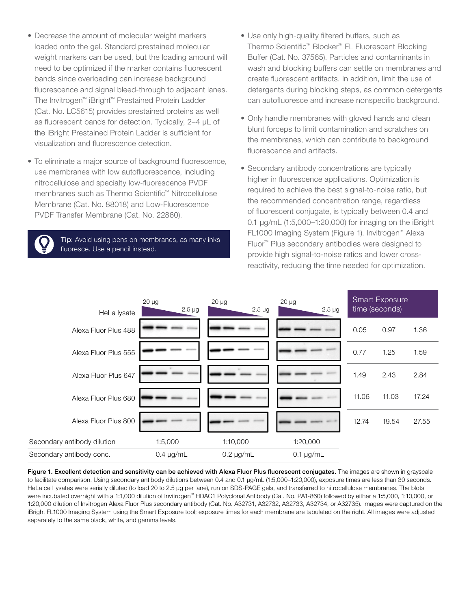- Decrease the amount of molecular weight markers loaded onto the gel. Standard prestained molecular weight markers can be used, but the loading amount will need to be optimized if the marker contains fluorescent bands since overloading can increase background fluorescence and signal bleed-through to adjacent lanes. The Invitrogen™ iBright™ Prestained Protein Ladder (Cat. No. LC5615) provides prestained proteins as well as fluorescent bands for detection. Typically, 2–4 µL of the iBright Prestained Protein Ladder is sufficient for visualization and fluorescence detection.
- To eliminate a major source of background fluorescence, use membranes with low autofluorescence, including nitrocellulose and specialty low-fluorescence PVDF membranes such as Thermo Scientific™ Nitrocellulose Membrane (Cat. No. 88018) and Low-Fluorescence PVDF Transfer Membrane (Cat. No. 22860).

**Tip:** Avoid using pens on membranes, as many inks fluoresce. Use a pencil instead.

- Use only high-quality filtered buffers, such as Thermo Scientific™ Blocker™ FL Fluorescent Blocking Buffer (Cat. No. 37565). Particles and contaminants in wash and blocking buffers can settle on membranes and create fluorescent artifacts. In addition, limit the use of detergents during blocking steps, as common detergents can autofluoresce and increase nonspecific background.
- Only handle membranes with gloved hands and clean blunt forceps to limit contamination and scratches on the membranes, which can contribute to background fluorescence and artifacts.
- Secondary antibody concentrations are typically higher in fluorescence applications. Optimization is required to achieve the best signal-to-noise ratio, but the recommended concentration range, regardless of fluorescent conjugate, is typically between 0.4 and 0.1 µg/mL (1:5,000–1:20,000) for imaging on the iBright FL1000 Imaging System (Figure 1). Invitrogen™ Alexa Fluor™ Plus secondary antibodies were designed to provide high signal-to-noise ratios and lower crossreactivity, reducing the time needed for optimization.

| HeLa lysate                 | $20 \mu g$<br>$2.5 \mu g$ | $20 \mu g$<br>$2.5 \mu g$ | $20 \mu g$<br>$2.5 \mu g$ |       | <b>Smart Exposure</b><br>time (seconds) |       |
|-----------------------------|---------------------------|---------------------------|---------------------------|-------|-----------------------------------------|-------|
| Alexa Fluor Plus 488        |                           |                           |                           | 0.05  | 0.97                                    | 1.36  |
| Alexa Fluor Plus 555        |                           |                           |                           | 0.77  | 1.25                                    | 1.59  |
| Alexa Fluor Plus 647        |                           |                           |                           | 1.49  | 2.43                                    | 2.84  |
| Alexa Fluor Plus 680        |                           |                           |                           | 11.06 | 11.03                                   | 17.24 |
| Alexa Fluor Plus 800        |                           |                           |                           | 12.74 | 19.54                                   | 27.55 |
| Secondary antibody dilution | 1:5,000                   | 1:10,000                  | 1:20,000                  |       |                                         |       |
| Secondary antibody conc.    | $0.4 \mu g/mL$            | $0.2 \mu g/mL$            | $0.1 \mu g/mL$            |       |                                         |       |

Figure 1. Excellent detection and sensitivity can be achieved with Alexa Fluor Plus fluorescent conjugates. The images are shown in grayscale to facilitate comparison. Using secondary antibody dilutions between 0.4 and 0.1 µg/mL (1:5,000–1:20,000), exposure times are less than 30 seconds. HeLa cell lysates were serially diluted (to load 20 to 2.5 µg per lane), run on SDS-PAGE gels, and transferred to nitrocellulose membranes. The blots were incubated overnight with a 1:1,000 dilution of Invitrogen™ HDAC1 Polyclonal Antibody (Cat. No. PA1-860) followed by either a 1:5,000, 1:10,000, or 1:20,000 dilution of Invitrogen Alexa Fluor Plus secondary antibody (Cat. No. A32731, A32732, A32733, A32734, or A32735). Images were captured on the iBright FL1000 Imaging System using the Smart Exposure tool; exposure times for each membrane are tabulated on the right. All images were adjusted separately to the same black, white, and gamma levels.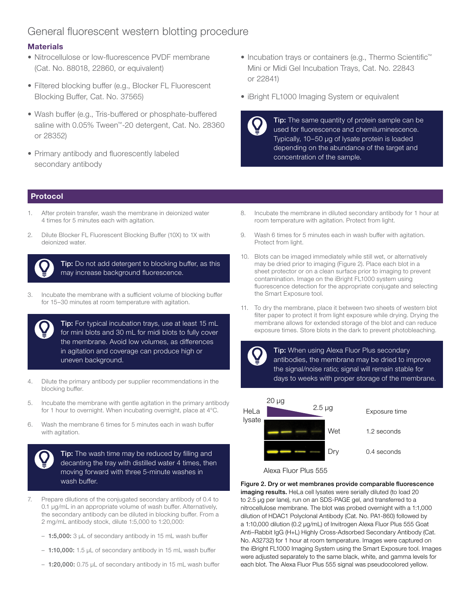# General fluorescent western blotting procedure

## **Materials**

- Nitrocellulose or low-fluorescence PVDF membrane (Cat. No. 88018, 22860, or equivalent)
- Filtered blocking buffer (e.g., Blocker FL Fluorescent Blocking Buffer, Cat. No. 37565)
- Wash buffer (e.g., Tris-buffered or phosphate-buffered saline with 0.05% Tween™-20 detergent, Cat. No. 28360 or 28352)
- Primary antibody and fluorescently labeled secondary antibody
- Incubation trays or containers (e.g., Thermo Scientific™ Mini or Midi Gel Incubation Trays, Cat. No. 22843 or 22841)
- iBright FL1000 Imaging System or equivalent

**Tip:** The same quantity of protein sample can be used for fluorescence and chemiluminescence. Typically, 10–50 µg of lysate protein is loaded depending on the abundance of the target and concentration of the sample.

### Protocol

- After protein transfer, wash the membrane in deionized water 4 times for 5 minutes each with agitation.
- 2. Dilute Blocker FL Fluorescent Blocking Buffer (10X) to 1X with deionized water.



**Tip:** Do not add detergent to blocking buffer, as this may increase background fluorescence.

3. Incubate the membrane with a sufficient volume of blocking buffer for 15–30 minutes at room temperature with agitation.



Tip: For typical incubation trays, use at least 15 mL for mini blots and 30 mL for midi blots to fully cover the membrane. Avoid low volumes, as differences in agitation and coverage can produce high or uneven background.

- 4. Dilute the primary antibody per supplier recommendations in the blocking buffer.
- 5. Incubate the membrane with gentle agitation in the primary antibody for 1 hour to overnight. When incubating overnight, place at 4°C.
- 6. Wash the membrane 6 times for 5 minutes each in wash buffer with agitation.

Tip: The wash time may be reduced by filling and decanting the tray with distilled water 4 times, then moving forward with three 5-minute washes in wash buffer.

- 7. Prepare dilutions of the conjugated secondary antibody of 0.4 to 0.1 µg/mL in an appropriate volume of wash buffer. Alternatively, the secondary antibody can be diluted in blocking buffer. From a 2 mg/mL antibody stock, dilute 1:5,000 to 1:20,000:
	- $-1:5,000:3$  µL of secondary antibody in 15 mL wash buffer
	- 1:10,000: 1.5 µL of secondary antibody in 15 mL wash buffer
	- 1:20,000: 0.75 µL of secondary antibody in 15 mL wash buffer
- 8. Incubate the membrane in diluted secondary antibody for 1 hour at room temperature with agitation. Protect from light.
- 9. Wash 6 times for 5 minutes each in wash buffer with agitation. Protect from light.
- 10. Blots can be imaged immediately while still wet, or alternatively may be dried prior to imaging (Figure 2). Place each blot in a sheet protector or on a clean surface prior to imaging to prevent contamination. Image on the iBright FL1000 system using fluorescence detection for the appropriate conjugate and selecting the Smart Exposure tool.
- 11. To dry the membrane, place it between two sheets of western blot filter paper to protect it from light exposure while drying. Drying the membrane allows for extended storage of the blot and can reduce exposure times. Store blots in the dark to prevent photobleaching.





Dry 0.4 seconds

#### Alexa Fluor Plus 555

Figure 2. Dry or wet membranes provide comparable fluorescence imaging results. HeLa cell lysates were serially diluted (to load 20 to 2.5 µg per lane), run on an SDS-PAGE gel, and transferred to a nitrocellulose membrane. The blot was probed overnight with a 1:1,000 dilution of HDAC1 Polyclonal Antibody (Cat. No. PA1-860) followed by a 1:10,000 dilution (0.2 µg/mL) of Invitrogen Alexa Fluor Plus 555 Goat Anti–Rabbit IgG (H+L) Highly Cross-Adsorbed Secondary Antibody (Cat. No. A32732) for 1 hour at room temperature. Images were captured on the iBright FL1000 Imaging System using the Smart Exposure tool. Images were adjusted separately to the same black, white, and gamma levels for each blot. The Alexa Fluor Plus 555 signal was pseudocolored yellow.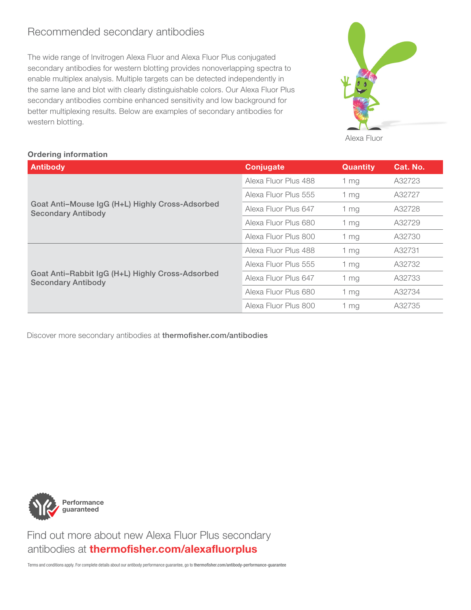# Recommended secondary antibodies

The wide range of Invitrogen Alexa Fluor and Alexa Fluor Plus conjugated secondary antibodies for western blotting provides nonoverlapping spectra to enable multiplex analysis. Multiple targets can be detected independently in the same lane and blot with clearly distinguishable colors. Our Alexa Fluor Plus secondary antibodies combine enhanced sensitivity and low background for better multiplexing results. Below are examples of secondary antibodies for western blotting.



Alexa Fluor

# Ordering information

| <b>Antibody</b>                                                               | Conjugate            | <b>Quantity</b> | Cat. No. |
|-------------------------------------------------------------------------------|----------------------|-----------------|----------|
|                                                                               | Alexa Fluor Plus 488 | 1 mg            | A32723   |
|                                                                               | Alexa Fluor Plus 555 | 1 <sub>mg</sub> | A32727   |
| Goat Anti-Mouse IgG (H+L) Highly Cross-Adsorbed<br><b>Secondary Antibody</b>  | Alexa Fluor Plus 647 | 1 mg            | A32728   |
|                                                                               | Alexa Fluor Plus 680 | 1 mg            | A32729   |
|                                                                               | Alexa Fluor Plus 800 | $1 \, mg$       | A32730   |
|                                                                               | Alexa Fluor Plus 488 | 1 mg            | A32731   |
|                                                                               | Alexa Fluor Plus 555 | 1 mg            | A32732   |
| Goat Anti-Rabbit IgG (H+L) Highly Cross-Adsorbed<br><b>Secondary Antibody</b> | Alexa Fluor Plus 647 | 1 <sub>mg</sub> | A32733   |
|                                                                               | Alexa Fluor Plus 680 | $1 \, mg$       | A32734   |
|                                                                               | Alexa Fluor Plus 800 | $1 \, mg$       | A32735   |

Discover more secondary antibodies at [thermofisher.com/antibodies](http://thermofisher.com/antibodies)



 Find out more about new Alexa Fluor Plus secondary antibodies at [thermofisher.com/alexafluorplus](https://www.thermofisher.com/us/en/home/life-science/antibodies/secondary-antibodies/fluorescent-secondary-antibodies/alexa-fluor-plus-secondary-antibodies.html)

Terms and conditions apply. For complete details about our antibody performance guarantee, go to [thermofisher.com/antibody-performance-guarantee](https://www.thermofisher.com/us/en/home/life-science/antibodies/antibody-performance-guarantee.html)